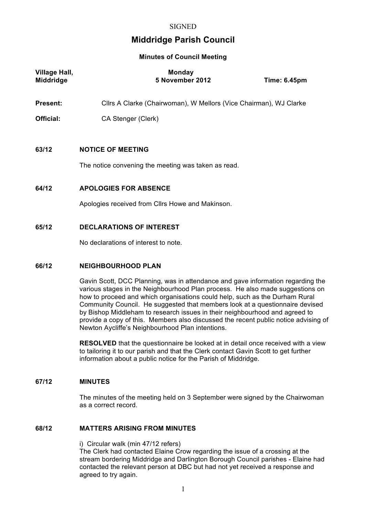# **Middridge Parish Council**

**Minutes of Council Meeting**

| <b>Village Hall,</b><br><b>Middridge</b> | <b>Monday</b><br>5 November 2012                                  | <b>Time: 6.45pm</b> |  |
|------------------------------------------|-------------------------------------------------------------------|---------------------|--|
| <b>Present:</b>                          | Cllrs A Clarke (Chairwoman), W Mellors (Vice Chairman), WJ Clarke |                     |  |
| <b>Official:</b>                         | CA Stenger (Clerk)                                                |                     |  |
|                                          |                                                                   |                     |  |
| 63/12                                    | <b>NOTICE OF MEETING</b>                                          |                     |  |
|                                          | The notice convening the meeting was taken as read.               |                     |  |
| 64/12                                    | <b>APOLOGIES FOR ABSENCE</b>                                      |                     |  |
|                                          | Apologies received from Cllrs Howe and Makinson.                  |                     |  |
| 65/12                                    | <b>DECLARATIONS OF INTEREST</b>                                   |                     |  |
|                                          | No declarations of interest to note.                              |                     |  |
| CCIA D                                   | NEICHBOURHOOD DLAN                                                |                     |  |

### **66/12 NEIGHBOURHOOD PLAN**

Gavin Scott, DCC Planning, was in attendance and gave information regarding the various stages in the Neighbourhood Plan process. He also made suggestions on how to proceed and which organisations could help, such as the Durham Rural Community Council. He suggested that members look at a questionnaire devised by Bishop Middleham to research issues in their neighbourhood and agreed to provide a copy of this. Members also discussed the recent public notice advising of Newton Aycliffe's Neighbourhood Plan intentions.

**RESOLVED** that the questionnaire be looked at in detail once received with a view to tailoring it to our parish and that the Clerk contact Gavin Scott to get further information about a public notice for the Parish of Middridge.

### **67/12 MINUTES**

The minutes of the meeting held on 3 September were signed by the Chairwoman as a correct record.

# **68/12 MATTERS ARISING FROM MINUTES**

i) Circular walk (min 47/12 refers) The Clerk had contacted Elaine Crow regarding the issue of a crossing at the stream bordering Middridge and Darlington Borough Council parishes - Elaine had contacted the relevant person at DBC but had not yet received a response and agreed to try again.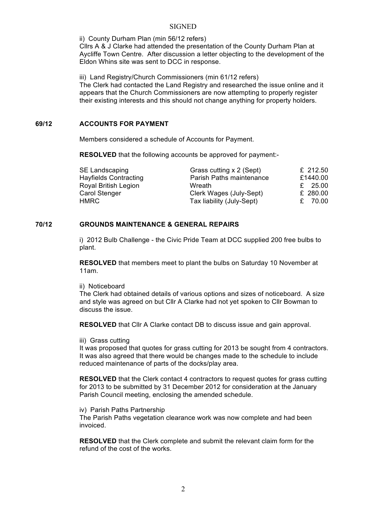### **SIGNED**

ii) County Durham Plan (min 56/12 refers)

Cllrs A & J Clarke had attended the presentation of the County Durham Plan at Aycliffe Town Centre. After discussion a letter objecting to the development of the Eldon Whins site was sent to DCC in response.

iii) Land Registry/Church Commissioners (min 61/12 refers) The Clerk had contacted the Land Registry and researched the issue online and it appears that the Church Commissioners are now attempting to properly register their existing interests and this should not change anything for property holders.

# **69/12 ACCOUNTS FOR PAYMENT**

Members considered a schedule of Accounts for Payment.

**RESOLVED** that the following accounts be approved for payment:-

| <b>SE Landscaping</b>        | Grass cutting x 2 (Sept)  | £ 212.50 |
|------------------------------|---------------------------|----------|
| <b>Hayfields Contracting</b> | Parish Paths maintenance  | £1440.00 |
| <b>Royal British Legion</b>  | Wreath                    | £ 25.00  |
| <b>Carol Stenger</b>         | Clerk Wages (July-Sept)   | £ 280.00 |
| <b>HMRC</b>                  | Tax liability (July-Sept) | £ 70.00  |

# **70/12 GROUNDS MAINTENANCE & GENERAL REPAIRS**

i) 2012 Bulb Challenge - the Civic Pride Team at DCC supplied 200 free bulbs to plant.

**RESOLVED** that members meet to plant the bulbs on Saturday 10 November at 11am.

ii) Noticeboard

The Clerk had obtained details of various options and sizes of noticeboard. A size and style was agreed on but Cllr A Clarke had not yet spoken to Cllr Bowman to discuss the issue.

**RESOLVED** that Cllr A Clarke contact DB to discuss issue and gain approval.

iii) Grass cutting

It was proposed that quotes for grass cutting for 2013 be sought from 4 contractors. It was also agreed that there would be changes made to the schedule to include reduced maintenance of parts of the docks/play area.

**RESOLVED** that the Clerk contact 4 contractors to request quotes for grass cutting for 2013 to be submitted by 31 December 2012 for consideration at the January Parish Council meeting, enclosing the amended schedule.

iv) Parish Paths Partnership

The Parish Paths vegetation clearance work was now complete and had been invoiced.

**RESOLVED** that the Clerk complete and submit the relevant claim form for the refund of the cost of the works.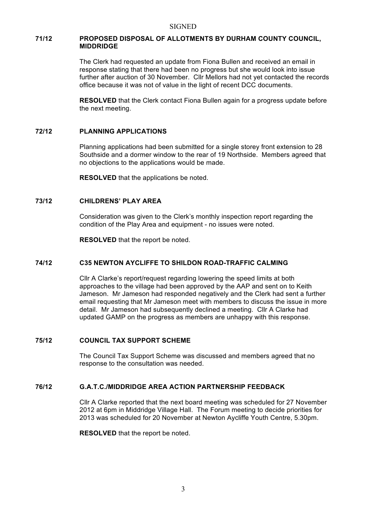## **71/12 PROPOSED DISPOSAL OF ALLOTMENTS BY DURHAM COUNTY COUNCIL, MIDDRIDGE**

The Clerk had requested an update from Fiona Bullen and received an email in response stating that there had been no progress but she would look into issue further after auction of 30 November. Cllr Mellors had not yet contacted the records office because it was not of value in the light of recent DCC documents.

**RESOLVED** that the Clerk contact Fiona Bullen again for a progress update before the next meeting.

### **72/12 PLANNING APPLICATIONS**

Planning applications had been submitted for a single storey front extension to 28 Southside and a dormer window to the rear of 19 Northside. Members agreed that no objections to the applications would be made.

**RESOLVED** that the applications be noted.

## **73/12 CHILDRENS' PLAY AREA**

Consideration was given to the Clerk's monthly inspection report regarding the condition of the Play Area and equipment - no issues were noted.

**RESOLVED** that the report be noted.

### **74/12 C35 NEWTON AYCLIFFE TO SHILDON ROAD-TRAFFIC CALMING**

Cllr A Clarke's report/request regarding lowering the speed limits at both approaches to the village had been approved by the AAP and sent on to Keith Jameson. Mr Jameson had responded negatively and the Clerk had sent a further email requesting that Mr Jameson meet with members to discuss the issue in more detail. Mr Jameson had subsequently declined a meeting. Cllr A Clarke had updated GAMP on the progress as members are unhappy with this response.

### **75/12 COUNCIL TAX SUPPORT SCHEME**

The Council Tax Support Scheme was discussed and members agreed that no response to the consultation was needed.

## **76/12 G.A.T.C./MIDDRIDGE AREA ACTION PARTNERSHIP FEEDBACK**

Cllr A Clarke reported that the next board meeting was scheduled for 27 November 2012 at 6pm in Middridge Village Hall. The Forum meeting to decide priorities for 2013 was scheduled for 20 November at Newton Aycliffe Youth Centre, 5.30pm.

**RESOLVED** that the report be noted.